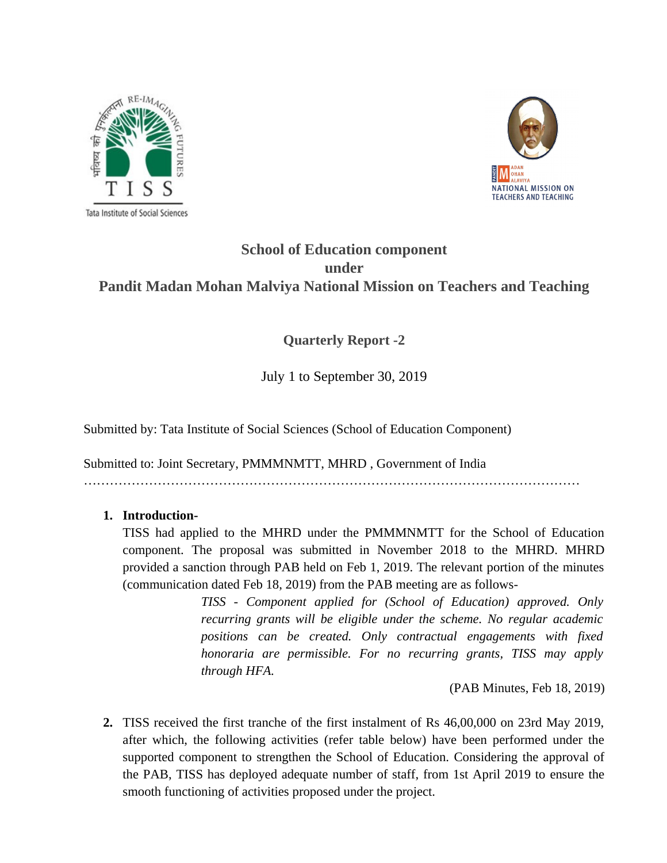



## **School of Education component under Pandit Madan Mohan Malviya National Mission on Teachers and Teaching**

## **Quarterly Report -2**

July 1 to September 30, 2019

Submitted by: Tata Institute of Social Sciences (School of Education Component)

Submitted to: Joint Secretary, PMMMNMTT, MHRD , Government of India ……………………………………………………………………………………………………

#### **1. Introduction-**

TISS had applied to the MHRD under the PMMMNMTT for the School of Education component. The proposal was submitted in November 2018 to the MHRD. MHRD provided a sanction through PAB held on Feb 1, 2019. The relevant portion of the minutes (communication dated Feb 18, 2019) from the PAB meeting are as follows-

> *TISS - Component applied for (School of Education) approved. Only recurring grants will be eligible under the scheme. No regular academic positions can be created. Only contractual engagements with fixed honoraria are permissible. For no recurring grants, TISS may apply through HFA.*

> > (PAB Minutes, Feb 18, 2019)

**2.** TISS received the first tranche of the first instalment of Rs 46,00,000 on 23rd May 2019, after which, the following activities (refer table below) have been performed under the supported component to strengthen the School of Education. Considering the approval of the PAB, TISS has deployed adequate number of staff, from 1st April 2019 to ensure the smooth functioning of activities proposed under the project.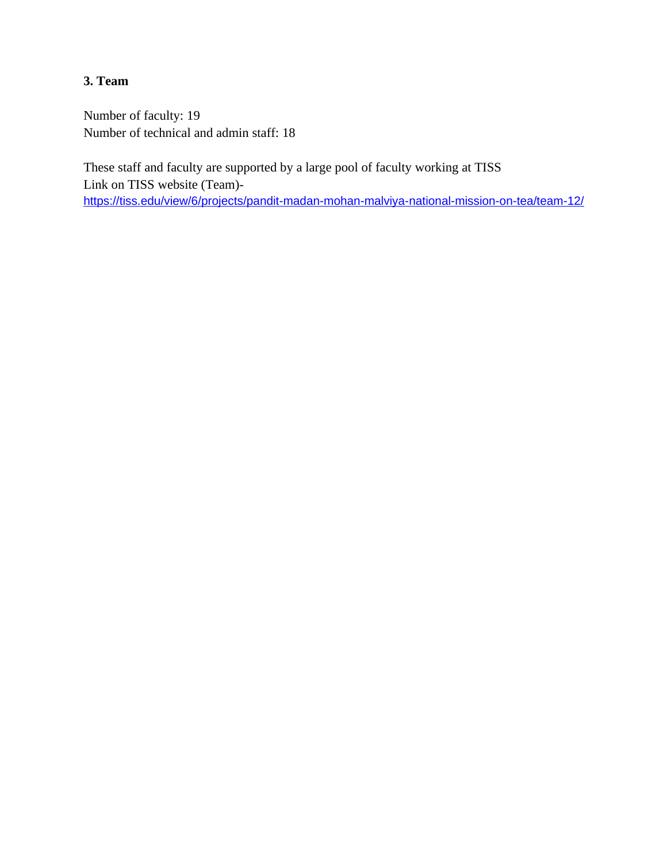## **3. Team**

Number of faculty: 19 Number of technical and admin staff: 18

These staff and faculty are supported by a large pool of faculty working at TISS Link on TISS website (Team) <https://tiss.edu/view/6/projects/pandit-madan-mohan-malviya-national-mission-on-tea/team-12/>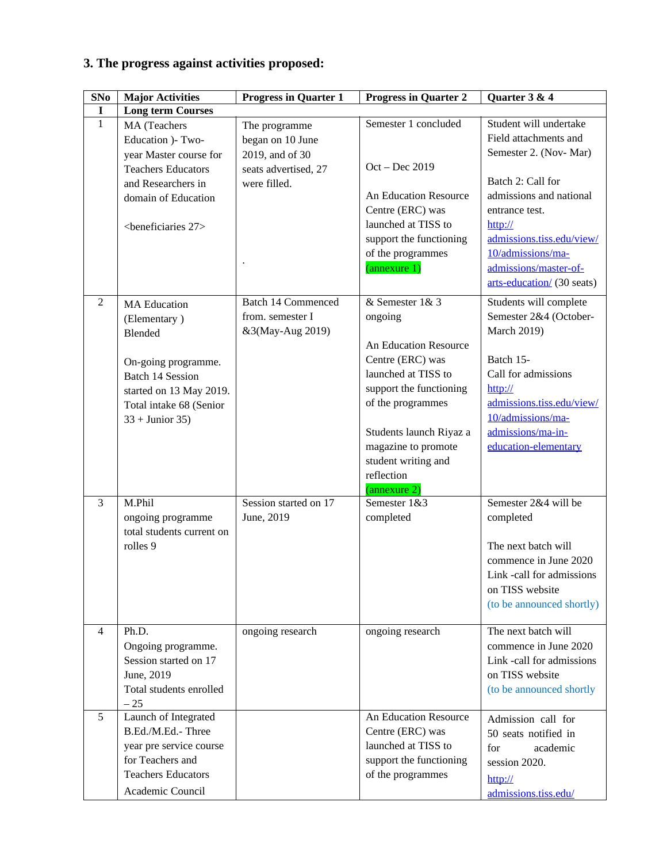# **3. The progress against activities proposed:**

| SNo            | <b>Major Activities</b>                                                                                                                                                     | <b>Progress in Quarter 1</b>                                                                 | <b>Progress in Quarter 2</b>                                                                                                                                                                                                                          | Quarter 3 & 4                                                                                                                                                                                                        |
|----------------|-----------------------------------------------------------------------------------------------------------------------------------------------------------------------------|----------------------------------------------------------------------------------------------|-------------------------------------------------------------------------------------------------------------------------------------------------------------------------------------------------------------------------------------------------------|----------------------------------------------------------------------------------------------------------------------------------------------------------------------------------------------------------------------|
| $\bf{I}$       | <b>Long term Courses</b>                                                                                                                                                    |                                                                                              |                                                                                                                                                                                                                                                       |                                                                                                                                                                                                                      |
| $\mathbf{1}$   | MA (Teachers<br>Education )- Two-<br>year Master course for<br><b>Teachers Educators</b><br>and Researchers in<br>domain of Education                                       | The programme<br>began on 10 June<br>2019, and of 30<br>seats advertised, 27<br>were filled. | Semester 1 concluded<br>Oct - Dec 2019<br>An Education Resource<br>Centre (ERC) was                                                                                                                                                                   | Student will undertake<br>Field attachments and<br>Semester 2. (Nov-Mar)<br>Batch 2: Call for<br>admissions and national<br>entrance test.                                                                           |
|                | <beneficiaries 27=""></beneficiaries>                                                                                                                                       |                                                                                              | launched at TISS to<br>support the functioning<br>of the programmes<br>(annexure 1)                                                                                                                                                                   | $\frac{http://}{$<br>admissions.tiss.edu/view/<br>10/admissions/ma-<br>admissions/master-of-<br>arts-education/ (30 seats)                                                                                           |
| $\overline{2}$ | <b>MA Education</b><br>(Elementary)<br>Blended<br>On-going programme.<br><b>Batch 14 Session</b><br>started on 13 May 2019.<br>Total intake 68 (Senior<br>$33 +$ Junior 35) | <b>Batch 14 Commenced</b><br>from. semester I<br>&3(May-Aug 2019)                            | & Semester 1& 3<br>ongoing<br>An Education Resource<br>Centre (ERC) was<br>launched at TISS to<br>support the functioning<br>of the programmes<br>Students launch Riyaz a<br>magazine to promote<br>student writing and<br>reflection<br>(annexure 2) | Students will complete<br>Semester 2&4 (October-<br><b>March 2019)</b><br>Batch 15-<br>Call for admissions<br>http://<br>admissions.tiss.edu/view/<br>10/admissions/ma-<br>admissions/ma-in-<br>education-elementary |
| 3              | M.Phil<br>ongoing programme<br>total students current on<br>rolles 9                                                                                                        | Session started on 17<br>June, 2019                                                          | Semester 1&3<br>completed                                                                                                                                                                                                                             | Semester 2&4 will be<br>completed<br>The next batch will<br>commence in June 2020<br>Link -call for admissions<br>on TISS website<br>(to be announced shortly)                                                       |
| 4              | Ph.D.<br>Ongoing programme.<br>Session started on 17<br>June, 2019<br>Total students enrolled<br>$-25$                                                                      | ongoing research                                                                             | ongoing research                                                                                                                                                                                                                                      | The next batch will<br>commence in June 2020<br>Link -call for admissions<br>on TISS website<br>(to be announced shortly                                                                                             |
| 5              | Launch of Integrated<br>B.Ed./M.Ed.- Three<br>year pre service course<br>for Teachers and<br><b>Teachers Educators</b><br>Academic Council                                  |                                                                                              | An Education Resource<br>Centre (ERC) was<br>launched at TISS to<br>support the functioning<br>of the programmes                                                                                                                                      | Admission call for<br>50 seats notified in<br>academic<br>for<br>session 2020.<br>http://<br>admissions.tiss.edu/                                                                                                    |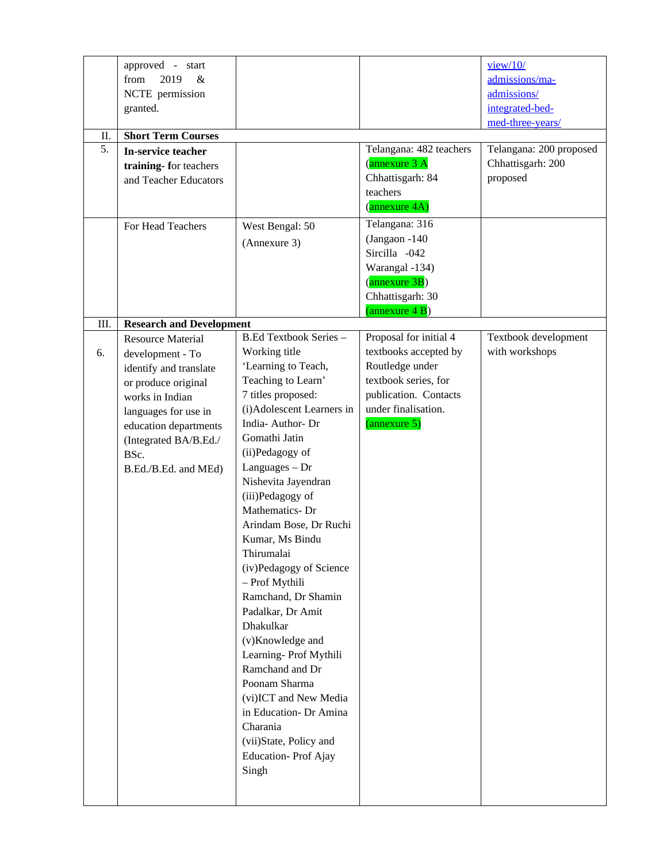| approved - start<br>2019<br>from<br>&<br>NCTE permission<br>granted.                                                                                                                           |                                                                                                                                                                                                                                                                                                                                                                                                                                                                                                                                                                                                                                                  |                                                                                                                                  | view/10/<br>admissions/ma-<br>admissions/<br>integrated-bed-<br>med-three-years/ |
|------------------------------------------------------------------------------------------------------------------------------------------------------------------------------------------------|--------------------------------------------------------------------------------------------------------------------------------------------------------------------------------------------------------------------------------------------------------------------------------------------------------------------------------------------------------------------------------------------------------------------------------------------------------------------------------------------------------------------------------------------------------------------------------------------------------------------------------------------------|----------------------------------------------------------------------------------------------------------------------------------|----------------------------------------------------------------------------------|
|                                                                                                                                                                                                |                                                                                                                                                                                                                                                                                                                                                                                                                                                                                                                                                                                                                                                  |                                                                                                                                  |                                                                                  |
| training-for teachers<br>and Teacher Educators                                                                                                                                                 |                                                                                                                                                                                                                                                                                                                                                                                                                                                                                                                                                                                                                                                  | (annexure 3 A<br>Chhattisgarh: 84<br>teachers                                                                                    | Telangana: 200 proposed<br>Chhattisgarh: 200<br>proposed                         |
|                                                                                                                                                                                                |                                                                                                                                                                                                                                                                                                                                                                                                                                                                                                                                                                                                                                                  |                                                                                                                                  |                                                                                  |
| For Head Teachers                                                                                                                                                                              | West Bengal: 50<br>(Annexure 3)                                                                                                                                                                                                                                                                                                                                                                                                                                                                                                                                                                                                                  | Telangana: 316<br>(Jangaon -140<br>Sircilla -042<br>Warangal -134)<br>(annexure 3B)<br>Chhattisgarh: 30<br>(annexure 4 B)        |                                                                                  |
|                                                                                                                                                                                                |                                                                                                                                                                                                                                                                                                                                                                                                                                                                                                                                                                                                                                                  |                                                                                                                                  |                                                                                  |
| development - To<br>identify and translate<br>or produce original<br>works in Indian<br>languages for use in<br>education departments<br>(Integrated BA/B.Ed./<br>BSc.<br>B.Ed./B.Ed. and MEd) | Working title<br>'Learning to Teach,<br>Teaching to Learn'<br>7 titles proposed:<br>(i)Adolescent Learners in<br>India-Author-Dr<br>Gomathi Jatin<br>(ii)Pedagogy of<br>$L$ anguages $-Dr$<br>Nishevita Jayendran<br>(iii)Pedagogy of<br>Mathematics-Dr<br>Arindam Bose, Dr Ruchi<br>Kumar, Ms Bindu<br>Thirumalai<br>(iv)Pedagogy of Science<br>- Prof Mythili<br>Ramchand, Dr Shamin<br>Padalkar, Dr Amit<br><b>Dhakulkar</b><br>(v)Knowledge and<br>Learning-Prof Mythili<br>Ramchand and Dr<br>Poonam Sharma<br>(vi)ICT and New Media<br>in Education- Dr Amina<br>Charania<br>(vii)State, Policy and<br><b>Education-Prof Ajay</b><br>Singh | textbooks accepted by<br>Routledge under<br>textbook series, for<br>publication. Contacts<br>under finalisation.<br>(annexure 5) | Textbook development<br>with workshops                                           |
|                                                                                                                                                                                                | <b>Short Term Courses</b><br>In-service teacher<br>Resource Material                                                                                                                                                                                                                                                                                                                                                                                                                                                                                                                                                                             | <b>Research and Development</b><br>B.Ed Textbook Series -                                                                        | Telangana: 482 teachers<br>(annexure 4A)<br>Proposal for initial 4               |